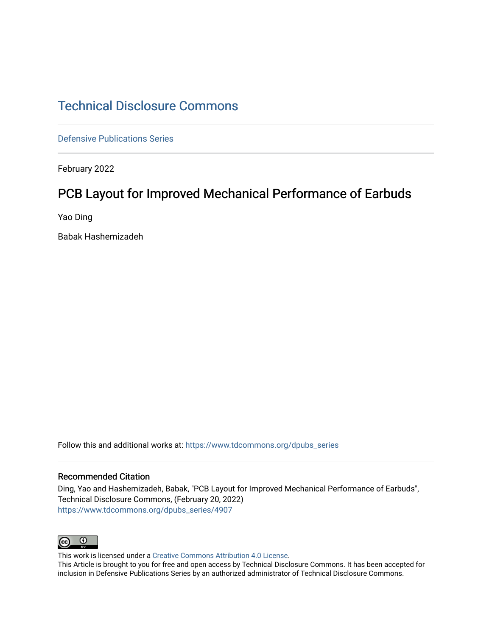## [Technical Disclosure Commons](https://www.tdcommons.org/)

[Defensive Publications Series](https://www.tdcommons.org/dpubs_series)

February 2022

# PCB Layout for Improved Mechanical Performance of Earbuds

Yao Ding

Babak Hashemizadeh

Follow this and additional works at: [https://www.tdcommons.org/dpubs\\_series](https://www.tdcommons.org/dpubs_series?utm_source=www.tdcommons.org%2Fdpubs_series%2F4907&utm_medium=PDF&utm_campaign=PDFCoverPages) 

#### Recommended Citation

Ding, Yao and Hashemizadeh, Babak, "PCB Layout for Improved Mechanical Performance of Earbuds", Technical Disclosure Commons, (February 20, 2022) [https://www.tdcommons.org/dpubs\\_series/4907](https://www.tdcommons.org/dpubs_series/4907?utm_source=www.tdcommons.org%2Fdpubs_series%2F4907&utm_medium=PDF&utm_campaign=PDFCoverPages)



This work is licensed under a [Creative Commons Attribution 4.0 License](http://creativecommons.org/licenses/by/4.0/deed.en_US).

This Article is brought to you for free and open access by Technical Disclosure Commons. It has been accepted for inclusion in Defensive Publications Series by an authorized administrator of Technical Disclosure Commons.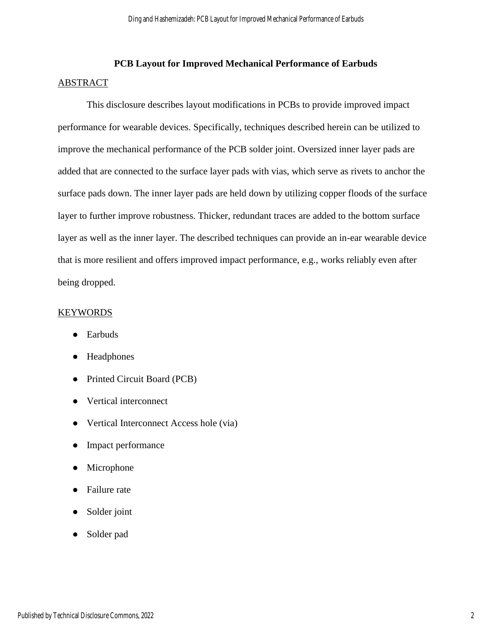## **PCB Layout for Improved Mechanical Performance of Earbuds** ABSTRACT

This disclosure describes layout modifications in PCBs to provide improved impact performance for wearable devices. Specifically, techniques described herein can be utilized to improve the mechanical performance of the PCB solder joint. Oversized inner layer pads are added that are connected to the surface layer pads with vias, which serve as rivets to anchor the surface pads down. The inner layer pads are held down by utilizing copper floods of the surface layer to further improve robustness. Thicker, redundant traces are added to the bottom surface layer as well as the inner layer. The described techniques can provide an in-ear wearable device that is more resilient and offers improved impact performance, e.g., works reliably even after being dropped.

## **KEYWORDS**

- Earbuds
- Headphones
- Printed Circuit Board (PCB)
- Vertical interconnect
- Vertical Interconnect Access hole (via)
- Impact performance
- Microphone
- **Failure** rate
- Solder joint
- Solder pad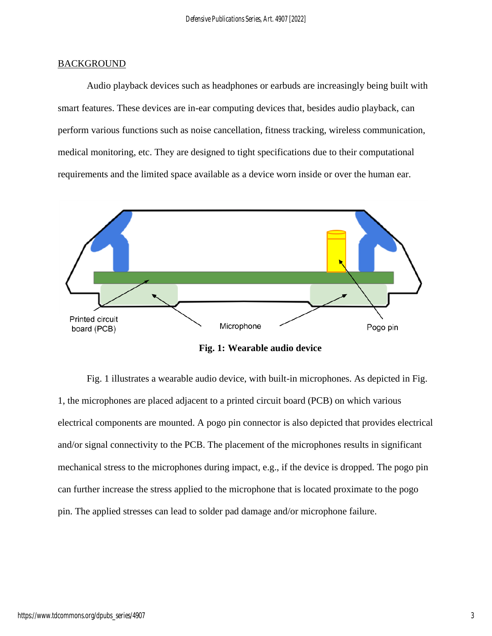### **BACKGROUND**

Audio playback devices such as headphones or earbuds are increasingly being built with smart features. These devices are in-ear computing devices that, besides audio playback, can perform various functions such as noise cancellation, fitness tracking, wireless communication, medical monitoring, etc. They are designed to tight specifications due to their computational requirements and the limited space available as a device worn inside or over the human ear.



**Fig. 1: Wearable audio device**

Fig. 1 illustrates a wearable audio device, with built-in microphones. As depicted in Fig. 1, the microphones are placed adjacent to a printed circuit board (PCB) on which various electrical components are mounted. A pogo pin connector is also depicted that provides electrical and/or signal connectivity to the PCB. The placement of the microphones results in significant mechanical stress to the microphones during impact, e.g., if the device is dropped. The pogo pin can further increase the stress applied to the microphone that is located proximate to the pogo pin. The applied stresses can lead to solder pad damage and/or microphone failure.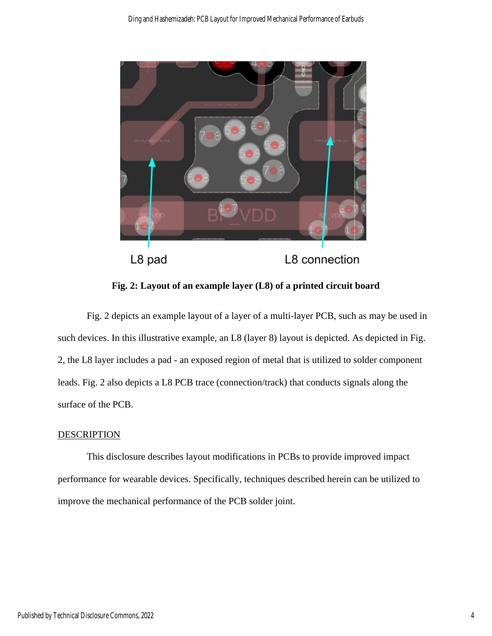

**Fig. 2: Layout of an example layer (L8) of a printed circuit board**

Fig. 2 depicts an example layout of a layer of a multi-layer PCB, such as may be used in such devices. In this illustrative example, an L8 (layer 8) layout is depicted. As depicted in Fig. 2, the L8 layer includes a pad - an exposed region of metal that is utilized to solder component leads. Fig. 2 also depicts a L8 PCB trace (connection/track) that conducts signals along the surface of the PCB.

## **DESCRIPTION**

This disclosure describes layout modifications in PCBs to provide improved impact performance for wearable devices. Specifically, techniques described herein can be utilized to improve the mechanical performance of the PCB solder joint.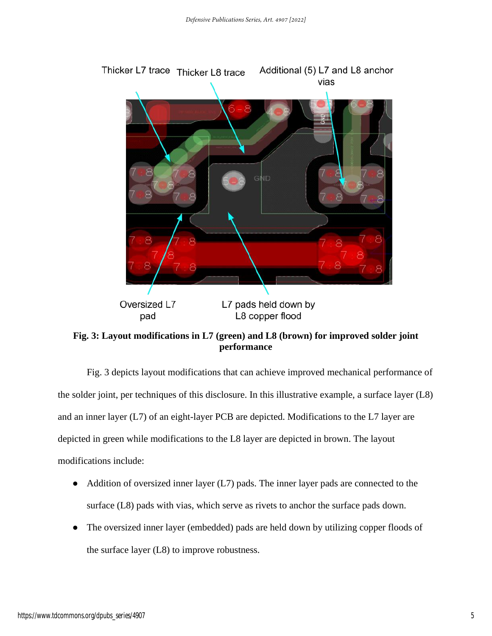

**Fig. 3: Layout modifications in L7 (green) and L8 (brown) for improved solder joint performance**

Fig. 3 depicts layout modifications that can achieve improved mechanical performance of the solder joint, per techniques of this disclosure. In this illustrative example, a surface layer (L8) and an inner layer (L7) of an eight-layer PCB are depicted. Modifications to the L7 layer are depicted in green while modifications to the L8 layer are depicted in brown. The layout modifications include:

- Addition of oversized inner layer (L7) pads. The inner layer pads are connected to the surface (L8) pads with vias, which serve as rivets to anchor the surface pads down.
- The oversized inner layer (embedded) pads are held down by utilizing copper floods of the surface layer (L8) to improve robustness.